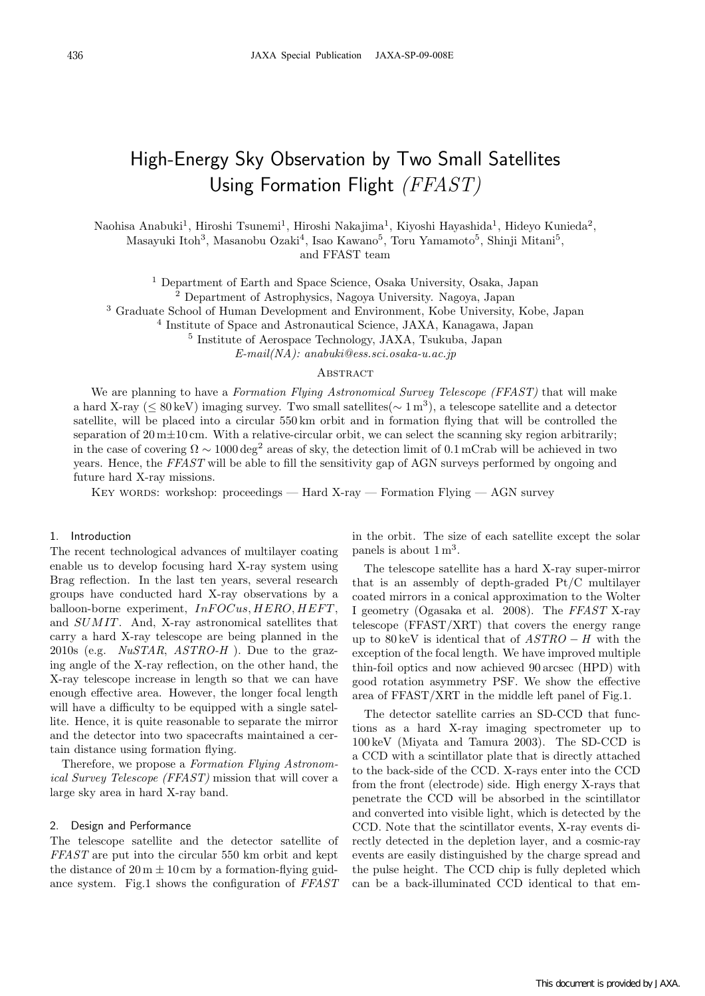# High-Energy Sky Observation by Two Small Satellites Using Formation Flight *(FFAST)*

Naohisa Anabuki<sup>1</sup>, Hiroshi Tsunemi<sup>1</sup>, Hiroshi Nakajima<sup>1</sup>, Kiyoshi Hayashida<sup>1</sup>, Hideyo Kunieda<sup>2</sup>, Masayuki Itoh<sup>3</sup>, Masanobu Ozaki<sup>4</sup>, Isao Kawano<sup>5</sup>, Toru Yamamoto<sup>5</sup>, Shinji Mitani<sup>5</sup>, and FFAST team

<sup>1</sup> Department of Earth and Space Science, Osaka University, Osaka, Japan

<sup>2</sup> Department of Astrophysics, Nagoya University. Nagoya, Japan

<sup>3</sup> Graduate School of Human Development and Environment, Kobe University, Kobe, Japan

<sup>4</sup> Institute of Space and Astronautical Science, JAXA, Kanagawa, Japan

<sup>5</sup> Institute of Aerospace Technology, JAXA, Tsukuba, Japan

*E-mail(NA): anabuki@ess.sci.osaka-u.ac.jp*

# **ABSTRACT**

We are planning to have a *Formation Flying Astronomical Survey Telescope (FFAST)* that will make a hard X-ray (*<sup>≤</sup>* 80 keV) imaging survey. Two small satellites(*<sup>∼</sup>* 1 m<sup>3</sup>), a telescope satellite and a detector satellite, will be placed into a circular 550 km orbit and in formation flying that will be controlled the separation of 20 m<sup> $\pm$ 10 cm. With a relative-circular orbit, we can select the scanning sky region arbitrarily;</sup> in the case of covering  $\Omega \sim 1000 \text{ deg}^2$  areas of sky, the detection limit of 0.1 mCrab will be achieved in two years. Hence, the *FFAST* will be able to fill the sensitivity gap of AGN surveys performed by ongoing and future hard X-ray missions.

KEY WORDS: workshop: proceedings — Hard X-ray — Formation Flying — AGN survey

#### 1. Introduction

The recent technological advances of multilayer coating enable us to develop focusing hard X-ray system using Brag reflection. In the last ten years, several research groups have conducted hard X-ray observations by a balloon-borne experiment,  $InFOCus, HERO, HEFT$ , and *SUMIT*. And, X-ray astronomical satellites that carry a hard X-ray telescope are being planned in the 2010s (e.g. *NuSTAR*, *ASTRO-H* ). Due to the grazing angle of the X-ray reflection, on the other hand, the X-ray telescope increase in length so that we can have enough effective area. However, the longer focal length will have a difficulty to be equipped with a single satellite. Hence, it is quite reasonable to separate the mirror and the detector into two spacecrafts maintained a certain distance using formation flying.

Therefore, we propose a *Formation Flying Astronomical Survey Telescope (FFAST)* mission that will cover a large sky area in hard X-ray band.

#### 2. Design and Performance

The telescope satellite and the detector satellite of *FFAST* are put into the circular 550 km orbit and kept the distance of  $20 \text{ m } \pm 10 \text{ cm}$  by a formation-flying guidance system. Fig.1 shows the configuration of *FFAST* in the orbit. The size of each satellite except the solar panels is about  $1 \text{ m}^3$ .

The telescope satellite has a hard X-ray super-mirror that is an assembly of depth-graded Pt/C multilayer coated mirrors in a conical approximation to the Wolter I geometry (Ogasaka et al. 2008). The *FFAST* X-ray telescope (FFAST/XRT) that covers the energy range up to 80 keV is identical that of *ASTRO − H* with the exception of the focal length. We have improved multiple thin-foil optics and now achieved 90 arcsec (HPD) with good rotation asymmetry PSF. We show the effective area of FFAST/XRT in the middle left panel of Fig.1.

The detector satellite carries an SD-CCD that functions as a hard X-ray imaging spectrometer up to 100 keV (Miyata and Tamura 2003). The SD-CCD is a CCD with a scintillator plate that is directly attached to the back-side of the CCD. X-rays enter into the CCD from the front (electrode) side. High energy X-rays that penetrate the CCD will be absorbed in the scintillator and converted into visible light, which is detected by the CCD. Note that the scintillator events, X-ray events directly detected in the depletion layer, and a cosmic-ray events are easily distinguished by the charge spread and the pulse height. The CCD chip is fully depleted which can be a back-illuminated CCD identical to that em-